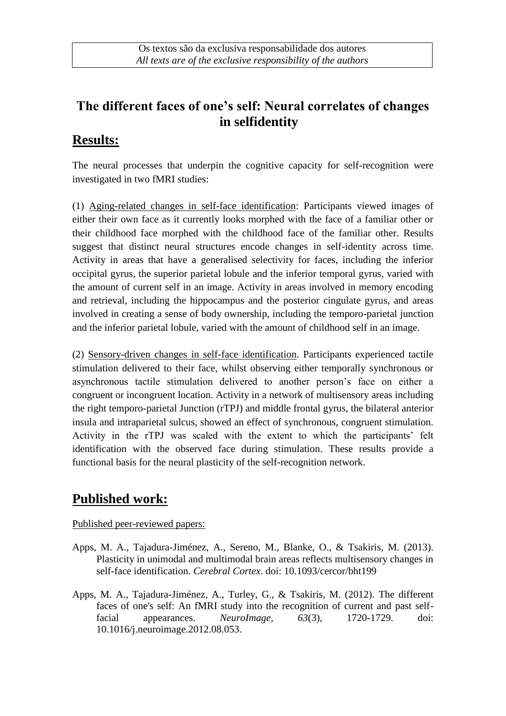## **The different faces of one's self: Neural correlates of changes in selfidentity**

### **Results:**

The neural processes that underpin the cognitive capacity for self-recognition were investigated in two fMRI studies:

(1) Aging-related changes in self-face identification: Participants viewed images of either their own face as it currently looks morphed with the face of a familiar other or their childhood face morphed with the childhood face of the familiar other. Results suggest that distinct neural structures encode changes in self-identity across time. Activity in areas that have a generalised selectivity for faces, including the inferior occipital gyrus, the superior parietal lobule and the inferior temporal gyrus, varied with the amount of current self in an image. Activity in areas involved in memory encoding and retrieval, including the hippocampus and the posterior cingulate gyrus, and areas involved in creating a sense of body ownership, including the temporo-parietal junction and the inferior parietal lobule, varied with the amount of childhood self in an image.

(2) Sensory-driven changes in self-face identification. Participants experienced tactile stimulation delivered to their face, whilst observing either temporally synchronous or asynchronous tactile stimulation delivered to another person's face on either a congruent or incongruent location. Activity in a network of multisensory areas including the right temporo-parietal Junction (rTPJ) and middle frontal gyrus, the bilateral anterior insula and intraparietal sulcus, showed an effect of synchronous, congruent stimulation. Activity in the rTPJ was scaled with the extent to which the participants' felt identification with the observed face during stimulation. These results provide a functional basis for the neural plasticity of the self-recognition network.

#### **Published work:**

Published peer-reviewed papers:

- Apps, M. A., Tajadura-Jiménez, A., Sereno, M., Blanke, O., & Tsakiris, M. (2013). Plasticity in unimodal and multimodal brain areas reflects multisensory changes in self-face identification. *Cerebral Cortex*. doi: 10.1093/cercor/bht199
- Apps, M. A., Tajadura-Jiménez, A., Turley, G., & Tsakiris, M. (2012). The different faces of one's self: An fMRI study into the recognition of current and past selffacial appearances. *NeuroImage, 63*(3), 1720-1729. doi: 10.1016/j.neuroimage.2012.08.053.